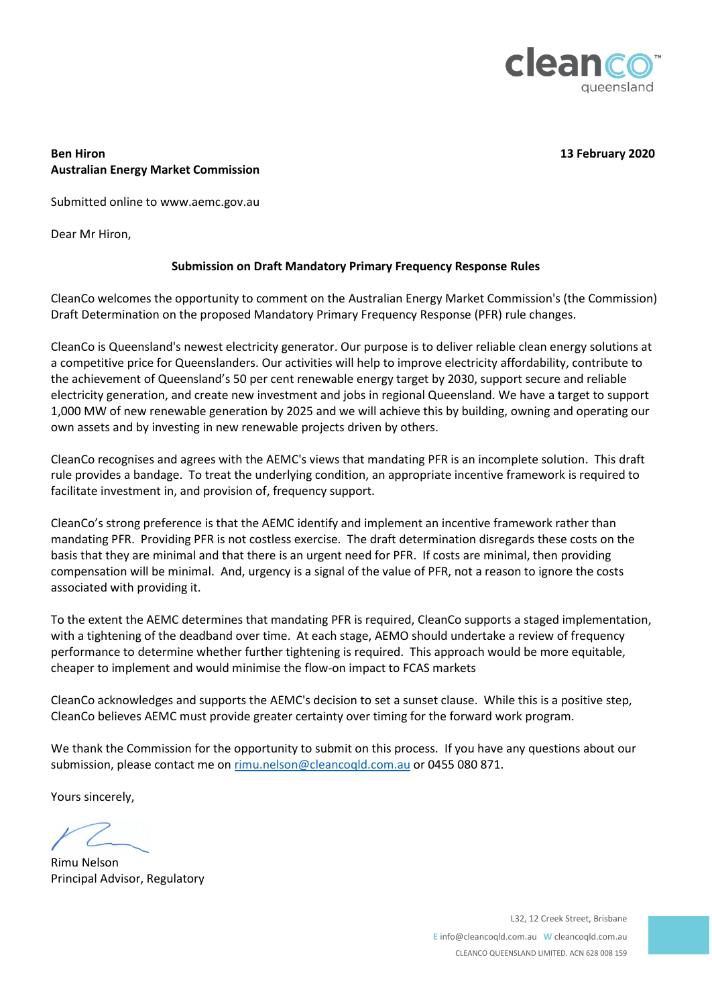

## **Ben Hiron 13 February 2020 Australian Energy Market Commission**

Submitted online to www.aemc.gov.au

Dear Mr Hiron,

# **Submission on Draft Mandatory Primary Frequency Response Rules**

CleanCo welcomes the opportunity to comment on the Australian Energy Market Commission's (the Commission) Draft Determination on the proposed Mandatory Primary Frequency Response (PFR) rule changes.

CleanCo is Queensland's newest electricity generator. Our purpose is to deliver reliable clean energy solutions at a competitive price for Queenslanders. Our activities will help to improve electricity affordability, contribute to the achievement of Queensland's 50 per cent renewable energy target by 2030, support secure and reliable electricity generation, and create new investment and jobs in regional Queensland. We have a target to support 1,000 MW of new renewable generation by 2025 and we will achieve this by building, owning and operating our own assets and by investing in new renewable projects driven by others.

CleanCo recognises and agrees with the AEMC's views that mandating PFR is an incomplete solution. This draft rule provides a bandage. To treat the underlying condition, an appropriate incentive framework is required to facilitate investment in, and provision of, frequency support.

CleanCo's strong preference is that the AEMC identify and implement an incentive framework rather than mandating PFR. Providing PFR is not costless exercise. The draft determination disregards these costs on the basis that they are minimal and that there is an urgent need for PFR. If costs are minimal, then providing compensation will be minimal. And, urgency is a signal of the value of PFR, not a reason to ignore the costs associated with providing it.

To the extent the AEMC determines that mandating PFR is required, CleanCo supports a staged implementation, with a tightening of the deadband over time. At each stage, AEMO should undertake a review of frequency performance to determine whether further tightening is required. This approach would be more equitable, cheaper to implement and would minimise the flow-on impact to FCAS markets

CleanCo acknowledges and supports the AEMC's decision to set a sunset clause. While this is a positive step, CleanCo believes AEMC must provide greater certainty over timing for the forward work program.

We thank the Commission for the opportunity to submit on this process. If you have any questions about our submission, please contact me on [rimu.nelson@cleancoqld.com.au](mailto:rimu.nelson@cleancoqld.com.au) or 0455 080 871.

Yours sincerely,

Rimu Nelson Principal Advisor, Regulatory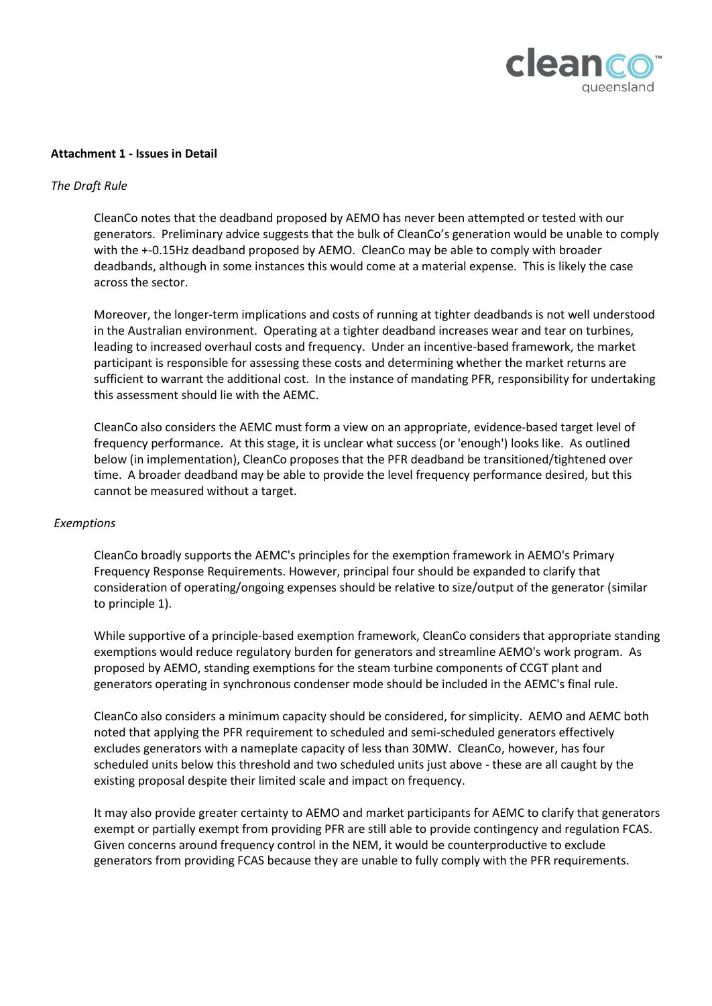

#### **Attachment 1 - Issues in Detail**

### *The Draft Rule*

CleanCo notes that the deadband proposed by AEMO has never been attempted or tested with our generators. Preliminary advice suggests that the bulk of CleanCo's generation would be unable to comply with the +-0.15Hz deadband proposed by AEMO. CleanCo may be able to comply with broader deadbands, although in some instances this would come at a material expense. This is likely the case across the sector.

Moreover, the longer-term implications and costs of running at tighter deadbands is not well understood in the Australian environment. Operating at a tighter deadband increases wear and tear on turbines, leading to increased overhaul costs and frequency. Under an incentive-based framework, the market participant is responsible for assessing these costs and determining whether the market returns are sufficient to warrant the additional cost. In the instance of mandating PFR, responsibility for undertaking this assessment should lie with the AEMC.

CleanCo also considers the AEMC must form a view on an appropriate, evidence-based target level of frequency performance. At this stage, it is unclear what success (or 'enough') looks like. As outlined below (in implementation), CleanCo proposes that the PFR deadband be transitioned/tightened over time. A broader deadband may be able to provide the level frequency performance desired, but this cannot be measured without a target.

#### *Exemptions*

CleanCo broadly supports the AEMC's principles for the exemption framework in AEMO's Primary Frequency Response Requirements. However, principal four should be expanded to clarify that consideration of operating/ongoing expenses should be relative to size/output of the generator (similar to principle 1).

While supportive of a principle-based exemption framework, CleanCo considers that appropriate standing exemptions would reduce regulatory burden for generators and streamline AEMO's work program. As proposed by AEMO, standing exemptions for the steam turbine components of CCGT plant and generators operating in synchronous condenser mode should be included in the AEMC's final rule.

CleanCo also considers a minimum capacity should be considered, for simplicity. AEMO and AEMC both noted that applying the PFR requirement to scheduled and semi-scheduled generators effectively excludes generators with a nameplate capacity of less than 30MW. CleanCo, however, has four scheduled units below this threshold and two scheduled units just above - these are all caught by the existing proposal despite their limited scale and impact on frequency.

It may also provide greater certainty to AEMO and market participants for AEMC to clarify that generators exempt or partially exempt from providing PFR are still able to provide contingency and regulation FCAS. Given concerns around frequency control in the NEM, it would be counterproductive to exclude generators from providing FCAS because they are unable to fully comply with the PFR requirements.